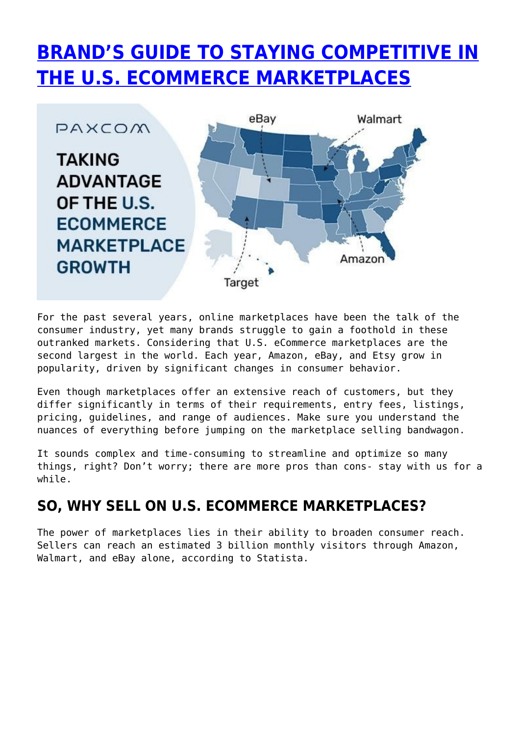# **[BRAND'S GUIDE TO STAYING COMPETITIVE IN](https://paxcom.ai/blog/brands-guide-to-usa-ecommerce-marketplaces/) [THE U.S. ECOMMERCE MARKETPLACES](https://paxcom.ai/blog/brands-guide-to-usa-ecommerce-marketplaces/)**



For the past several years, online marketplaces have been the talk of the consumer industry, yet many brands struggle to gain a foothold in these outranked markets. Considering that U.S. eCommerce marketplaces are the second largest in the world. Each year, Amazon, eBay, and Etsy grow in popularity, driven by significant changes in consumer behavior.

Even though marketplaces offer an extensive reach of customers, but they differ significantly in terms of their requirements, entry fees, listings, pricing, guidelines, and range of audiences. Make sure you understand the nuances of everything before jumping on the marketplace selling bandwagon.

It sounds complex and time-consuming to streamline and optimize so many things, right? Don't worry; there are more pros than cons- stay with us for a while.

# **SO, WHY SELL ON U.S. ECOMMERCE MARKETPLACES?**

The power of marketplaces lies in their ability to broaden consumer reach. Sellers can reach an estimated 3 billion monthly visitors through Amazon, Walmart, and eBay alone, according to Statista.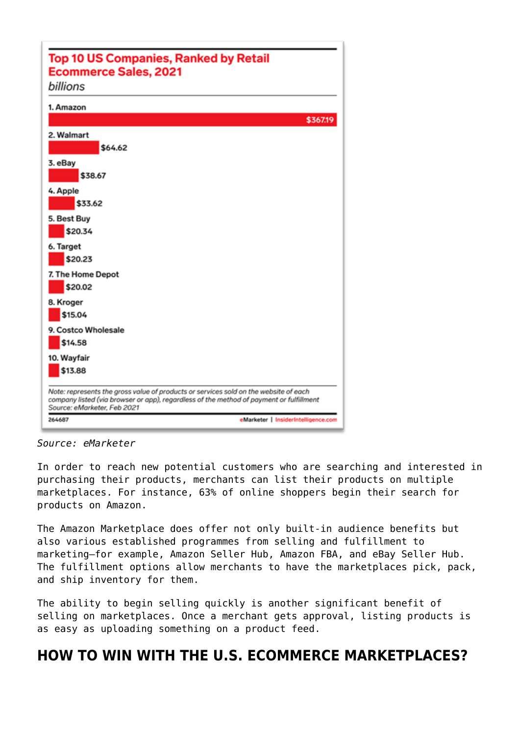| <b>Top 10 US Companies, Ranked by Retail</b>                                                                                                                                                                   |
|----------------------------------------------------------------------------------------------------------------------------------------------------------------------------------------------------------------|
| <b>Ecommerce Sales, 2021</b>                                                                                                                                                                                   |
| billions                                                                                                                                                                                                       |
| 1. Amazon                                                                                                                                                                                                      |
| \$367.19                                                                                                                                                                                                       |
| 2. Walmart                                                                                                                                                                                                     |
| \$64.62                                                                                                                                                                                                        |
| 3. eBay                                                                                                                                                                                                        |
| \$38.67                                                                                                                                                                                                        |
| 4. Apple                                                                                                                                                                                                       |
| \$33.62                                                                                                                                                                                                        |
| 5. Best Buy                                                                                                                                                                                                    |
| \$20.34                                                                                                                                                                                                        |
| 6. Target                                                                                                                                                                                                      |
| \$20.23                                                                                                                                                                                                        |
| 7. The Home Depot                                                                                                                                                                                              |
| \$20.02                                                                                                                                                                                                        |
| 8. Kroger                                                                                                                                                                                                      |
| \$15.04                                                                                                                                                                                                        |
| 9. Costco Wholesale                                                                                                                                                                                            |
| \$14.58                                                                                                                                                                                                        |
| 10. Wayfair                                                                                                                                                                                                    |
| \$13.88                                                                                                                                                                                                        |
| Note: represents the gross value of products or services sold on the website of each<br>company listed (via browser or app), regardless of the method of payment or fulfillment<br>Source: eMarketer, Feb 2021 |
| 264687<br>eMarketer   InsiderIntelligence.com                                                                                                                                                                  |

*Source: eMarketer*

In order to reach new potential customers who are searching and interested in purchasing their products, merchants can list their products on multiple marketplaces. For instance, 63% of online shoppers begin their search for products on Amazon.

The Amazon Marketplace does offer not only built-in audience benefits but also various established programmes from selling and fulfillment to marketing—for example, Amazon Seller Hub, Amazon FBA, and eBay Seller Hub. The fulfillment options allow merchants to have the marketplaces pick, pack, and ship inventory for them.

The ability to begin selling quickly is another significant benefit of selling on marketplaces. Once a merchant gets approval, listing products is as easy as uploading something on a product feed.

# **HOW TO WIN WITH THE U.S. ECOMMERCE MARKETPLACES?**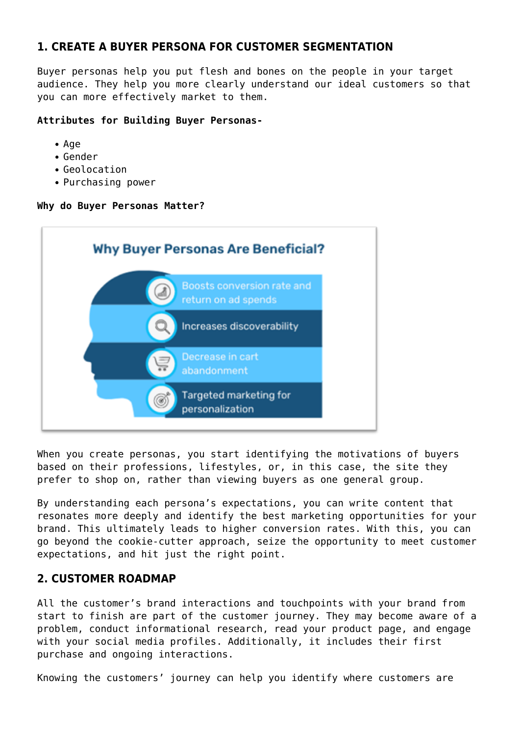## **1. CREATE A BUYER PERSONA FOR CUSTOMER SEGMENTATION**

Buyer personas help you put flesh and bones on the people in your target audience. They help you more clearly understand our ideal customers so that you can more effectively market to them.

#### **Attributes for Building Buyer Personas-**

- Age
- Gender
- Geolocation
- Purchasing power

#### **Why do Buyer Personas Matter?**



When you create personas, you start identifying the motivations of buyers based on their professions, lifestyles, or, in this case, the site they prefer to shop on, rather than viewing buyers as one general group.

By understanding each persona's expectations, you can write content that resonates more deeply and identify the best marketing opportunities for your brand. This ultimately leads to higher conversion rates. With this, you can go beyond the cookie-cutter approach, seize the opportunity to meet customer expectations, and hit just the right point.

# **2. CUSTOMER ROADMAP**

All the customer's brand interactions and touchpoints with your brand from start to finish are part of the customer journey. They may become aware of a problem, conduct informational research, read your product page, and engage with your social media profiles. Additionally, it includes their first purchase and ongoing interactions.

Knowing the customers' journey can help you identify where customers are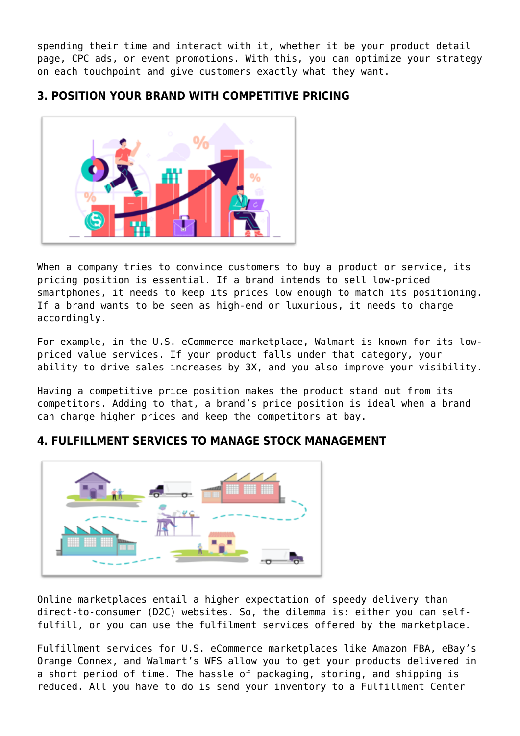spending their time and interact with it, whether it be your product detail page, CPC ads, or event promotions. With this, you can optimize your strategy on each touchpoint and give customers exactly what they want.

# **3. POSITION YOUR BRAND WITH COMPETITIVE PRICING**



When a company tries to convince customers to buy a product or service, its pricing position is essential. If a brand intends to sell low-priced smartphones, it needs to keep its prices low enough to match its positioning. If a brand wants to be seen as high-end or luxurious, it needs to charge accordingly.

For example, in the U.S. eCommerce marketplace, Walmart is known for its lowpriced value services. If your product falls under that category, your ability to drive sales increases by 3X, and you also improve your visibility.

Having a competitive price position makes the product stand out from its competitors. Adding to that, a brand's price position is ideal when a brand can charge higher prices and keep the competitors at bay.

# **4. FULFILLMENT SERVICES TO MANAGE STOCK MANAGEMENT**



Online marketplaces entail a higher expectation of speedy delivery than direct-to-consumer (D2C) websites. So, the dilemma is: either you can selffulfill, or you can use the fulfilment services offered by the marketplace.

Fulfillment services for U.S. eCommerce marketplaces like Amazon FBA, eBay's Orange Connex, and Walmart's WFS allow you to get your products delivered in a short period of time. The hassle of packaging, storing, and shipping is reduced. All you have to do is send your inventory to a Fulfillment Center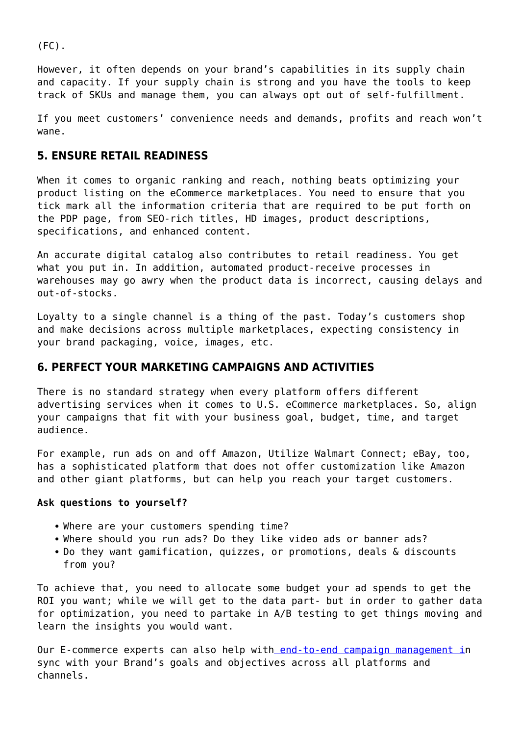$(FC)$ .

However, it often depends on your brand's capabilities in its supply chain and capacity. If your supply chain is strong and you have the tools to keep track of SKUs and manage them, you can always opt out of self-fulfillment.

If you meet customers' convenience needs and demands, profits and reach won't wane.

#### **5. ENSURE RETAIL READINESS**

When it comes to organic ranking and reach, nothing beats optimizing your product listing on the eCommerce marketplaces. You need to ensure that you tick mark all the information criteria that are required to be put forth on the PDP page, from SEO-rich titles, HD images, product descriptions, specifications, and enhanced content.

An accurate digital catalog also contributes to retail readiness. You get what you put in. In addition, automated product-receive processes in warehouses may go awry when the product data is incorrect, causing delays and out-of-stocks.

Loyalty to a single channel is a thing of the past. Today's customers shop and make decisions across multiple marketplaces, expecting consistency in your brand packaging, voice, images, etc.

## **6. PERFECT YOUR MARKETING CAMPAIGNS AND ACTIVITIES**

There is no standard strategy when every platform offers different advertising services when it comes to U.S. eCommerce marketplaces. So, align your campaigns that fit with your business goal, budget, time, and target audience.

For example, run ads on and off Amazon, Utilize Walmart Connect; eBay, too, has a sophisticated platform that does not offer customization like Amazon and other giant platforms, but can help you reach your target customers.

#### **Ask questions to yourself?**

- Where are your customers spending time?
- Where should you run ads? Do they like video ads or banner ads?
- Do they want gamification, quizzes, or promotions, deals & discounts from you?

To achieve that, you need to allocate some budget your ad spends to get the ROI you want; while we will get to the data part- but in order to gather data for optimization, you need to partake in A/B testing to get things moving and learn the insights you would want.

Our E-commerce experts can also help wit[h end-to-end campaign management in](https://paxcom.ai/ams-campaign-management/) sync with your Brand's goals and objectives across all platforms and channels.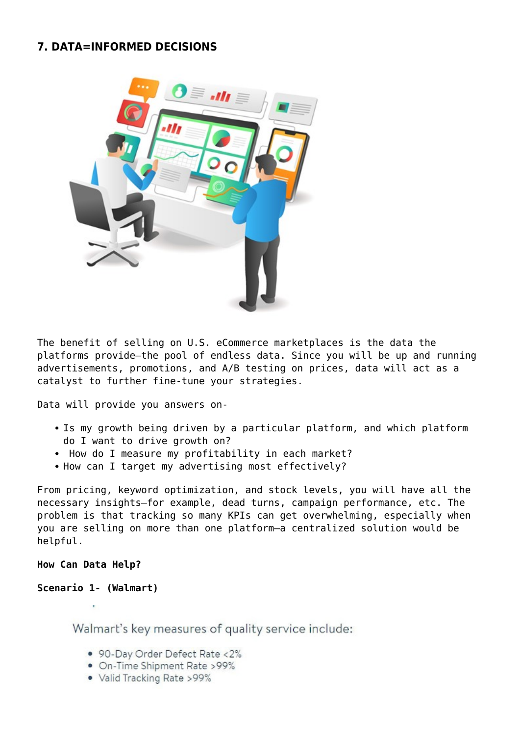## **7. DATA=INFORMED DECISIONS**



The benefit of selling on U.S. eCommerce marketplaces is the data the platforms provide—the pool of endless data. Since you will be up and running advertisements, promotions, and A/B testing on prices, data will act as a catalyst to further fine-tune your strategies.

Data will provide you answers on-

- Is my growth being driven by a particular platform, and which platform do I want to drive growth on?
- How do I measure my profitability in each market?
- How can I target my advertising most effectively?

From pricing, keyword optimization, and stock levels, you will have all the necessary insights—for example, dead turns, campaign performance, etc. The problem is that tracking so many KPIs can get overwhelming, especially when you are selling on more than one platform—a centralized solution would be helpful.

#### **How Can Data Help?**

#### **Scenario 1- (Walmart)**

Walmart's key measures of quality service include:

- 90-Day Order Defect Rate <2%
- · On-Time Shipment Rate >99%
- Valid Tracking Rate > 99%